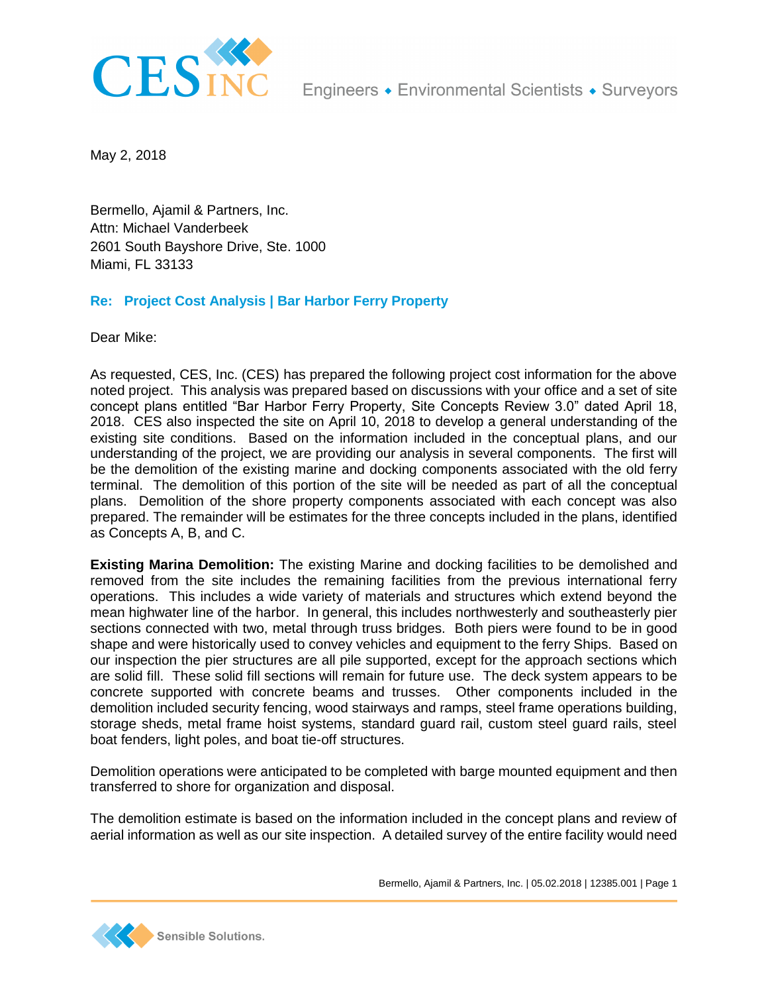

May 2, 2018

Bermello, Ajamil & Partners, Inc. Attn: Michael Vanderbeek 2601 South Bayshore Drive, Ste. 1000 Miami, FL 33133

## **Re: Project Cost Analysis | Bar Harbor Ferry Property**

Dear Mike:

As requested, CES, Inc. (CES) has prepared the following project cost information for the above noted project. This analysis was prepared based on discussions with your office and a set of site concept plans entitled "Bar Harbor Ferry Property, Site Concepts Review 3.0" dated April 18, 2018. CES also inspected the site on April 10, 2018 to develop a general understanding of the existing site conditions. Based on the information included in the conceptual plans, and our understanding of the project, we are providing our analysis in several components. The first will be the demolition of the existing marine and docking components associated with the old ferry terminal. The demolition of this portion of the site will be needed as part of all the conceptual plans. Demolition of the shore property components associated with each concept was also prepared. The remainder will be estimates for the three concepts included in the plans, identified as Concepts A, B, and C.

**Existing Marina Demolition:** The existing Marine and docking facilities to be demolished and removed from the site includes the remaining facilities from the previous international ferry operations. This includes a wide variety of materials and structures which extend beyond the mean highwater line of the harbor. In general, this includes northwesterly and southeasterly pier sections connected with two, metal through truss bridges. Both piers were found to be in good shape and were historically used to convey vehicles and equipment to the ferry Ships. Based on our inspection the pier structures are all pile supported, except for the approach sections which are solid fill. These solid fill sections will remain for future use. The deck system appears to be concrete supported with concrete beams and trusses. Other components included in the demolition included security fencing, wood stairways and ramps, steel frame operations building, storage sheds, metal frame hoist systems, standard guard rail, custom steel guard rails, steel boat fenders, light poles, and boat tie-off structures.

Demolition operations were anticipated to be completed with barge mounted equipment and then transferred to shore for organization and disposal.

The demolition estimate is based on the information included in the concept plans and review of aerial information as well as our site inspection. A detailed survey of the entire facility would need

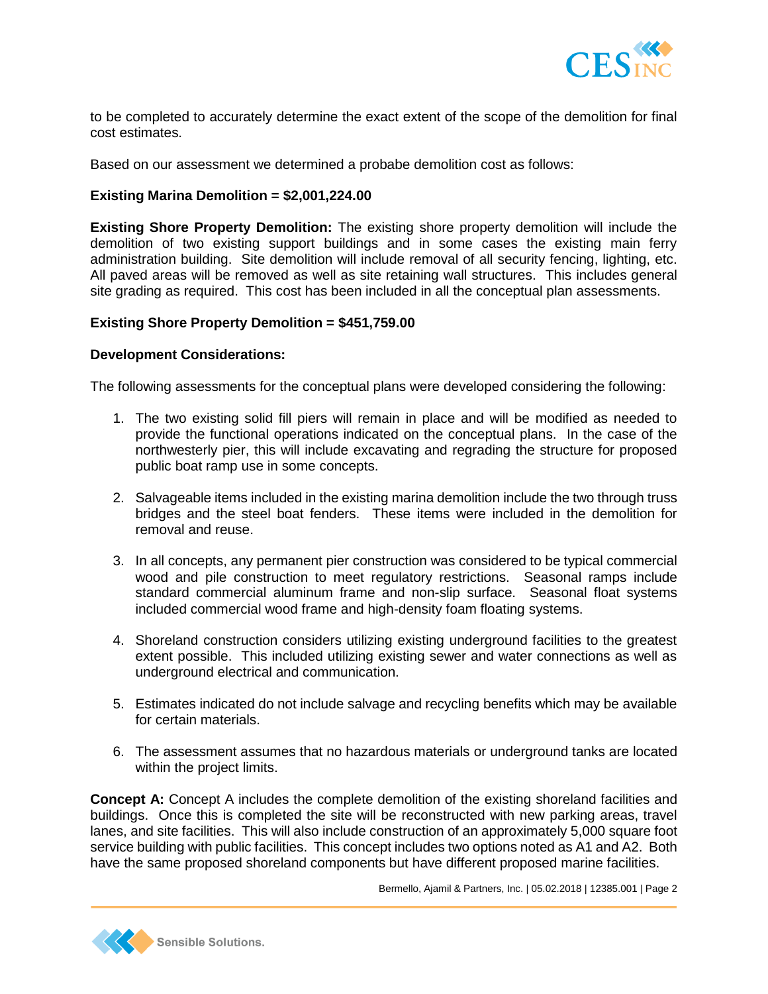

to be completed to accurately determine the exact extent of the scope of the demolition for final cost estimates.

Based on our assessment we determined a probabe demolition cost as follows:

## **Existing Marina Demolition = \$2,001,224.00**

**Existing Shore Property Demolition:** The existing shore property demolition will include the demolition of two existing support buildings and in some cases the existing main ferry administration building. Site demolition will include removal of all security fencing, lighting, etc. All paved areas will be removed as well as site retaining wall structures. This includes general site grading as required. This cost has been included in all the conceptual plan assessments.

### **Existing Shore Property Demolition = \$451,759.00**

#### **Development Considerations:**

The following assessments for the conceptual plans were developed considering the following:

- 1. The two existing solid fill piers will remain in place and will be modified as needed to provide the functional operations indicated on the conceptual plans. In the case of the northwesterly pier, this will include excavating and regrading the structure for proposed public boat ramp use in some concepts.
- 2. Salvageable items included in the existing marina demolition include the two through truss bridges and the steel boat fenders. These items were included in the demolition for removal and reuse.
- 3. In all concepts, any permanent pier construction was considered to be typical commercial wood and pile construction to meet regulatory restrictions. Seasonal ramps include standard commercial aluminum frame and non-slip surface. Seasonal float systems included commercial wood frame and high-density foam floating systems.
- 4. Shoreland construction considers utilizing existing underground facilities to the greatest extent possible. This included utilizing existing sewer and water connections as well as underground electrical and communication.
- 5. Estimates indicated do not include salvage and recycling benefits which may be available for certain materials.
- 6. The assessment assumes that no hazardous materials or underground tanks are located within the project limits.

**Concept A:** Concept A includes the complete demolition of the existing shoreland facilities and buildings. Once this is completed the site will be reconstructed with new parking areas, travel lanes, and site facilities. This will also include construction of an approximately 5,000 square foot service building with public facilities. This concept includes two options noted as A1 and A2. Both have the same proposed shoreland components but have different proposed marine facilities.

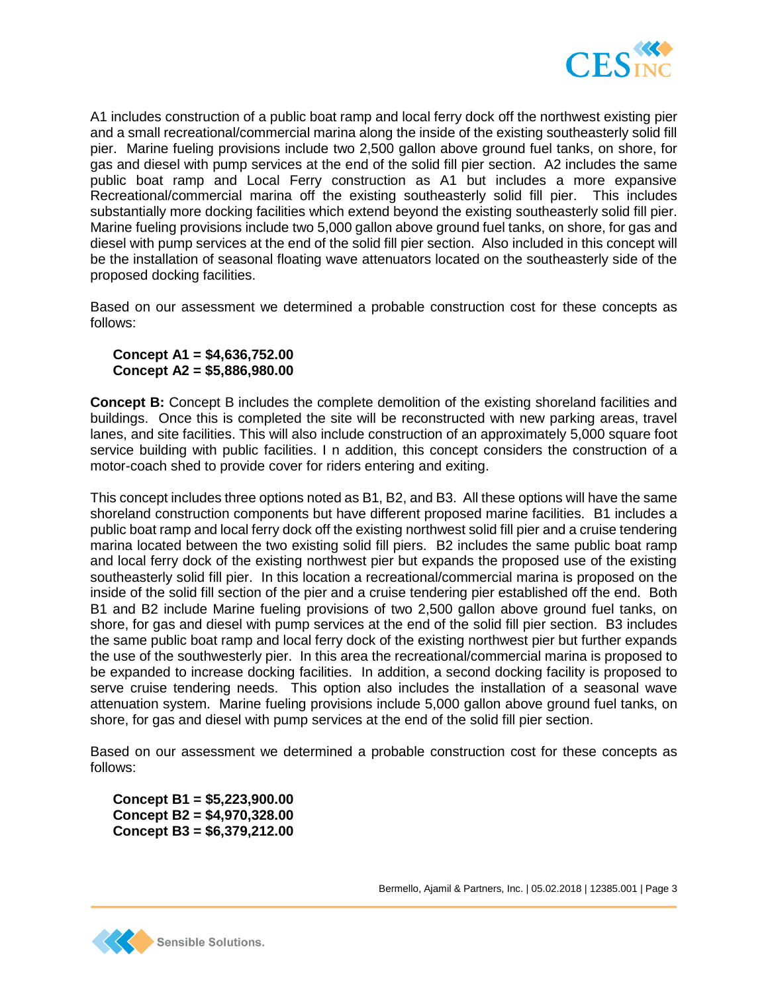

A1 includes construction of a public boat ramp and local ferry dock off the northwest existing pier and a small recreational/commercial marina along the inside of the existing southeasterly solid fill pier. Marine fueling provisions include two 2,500 gallon above ground fuel tanks, on shore, for gas and diesel with pump services at the end of the solid fill pier section. A2 includes the same public boat ramp and Local Ferry construction as A1 but includes a more expansive Recreational/commercial marina off the existing southeasterly solid fill pier. This includes substantially more docking facilities which extend beyond the existing southeasterly solid fill pier. Marine fueling provisions include two 5,000 gallon above ground fuel tanks, on shore, for gas and diesel with pump services at the end of the solid fill pier section. Also included in this concept will be the installation of seasonal floating wave attenuators located on the southeasterly side of the proposed docking facilities.

Based on our assessment we determined a probable construction cost for these concepts as follows:

## **Concept A1 = \$4,636,752.00 Concept A2 = \$5,886,980.00**

**Concept B:** Concept B includes the complete demolition of the existing shoreland facilities and buildings. Once this is completed the site will be reconstructed with new parking areas, travel lanes, and site facilities. This will also include construction of an approximately 5,000 square foot service building with public facilities. I n addition, this concept considers the construction of a motor-coach shed to provide cover for riders entering and exiting.

This concept includes three options noted as B1, B2, and B3. All these options will have the same shoreland construction components but have different proposed marine facilities. B1 includes a public boat ramp and local ferry dock off the existing northwest solid fill pier and a cruise tendering marina located between the two existing solid fill piers. B2 includes the same public boat ramp and local ferry dock of the existing northwest pier but expands the proposed use of the existing southeasterly solid fill pier. In this location a recreational/commercial marina is proposed on the inside of the solid fill section of the pier and a cruise tendering pier established off the end. Both B1 and B2 include Marine fueling provisions of two 2,500 gallon above ground fuel tanks, on shore, for gas and diesel with pump services at the end of the solid fill pier section. B3 includes the same public boat ramp and local ferry dock of the existing northwest pier but further expands the use of the southwesterly pier. In this area the recreational/commercial marina is proposed to be expanded to increase docking facilities. In addition, a second docking facility is proposed to serve cruise tendering needs. This option also includes the installation of a seasonal wave attenuation system. Marine fueling provisions include 5,000 gallon above ground fuel tanks, on shore, for gas and diesel with pump services at the end of the solid fill pier section.

Based on our assessment we determined a probable construction cost for these concepts as follows:

**Concept B1 = \$5,223,900.00 Concept B2 = \$4,970,328.00 Concept B3 = \$6,379,212.00**

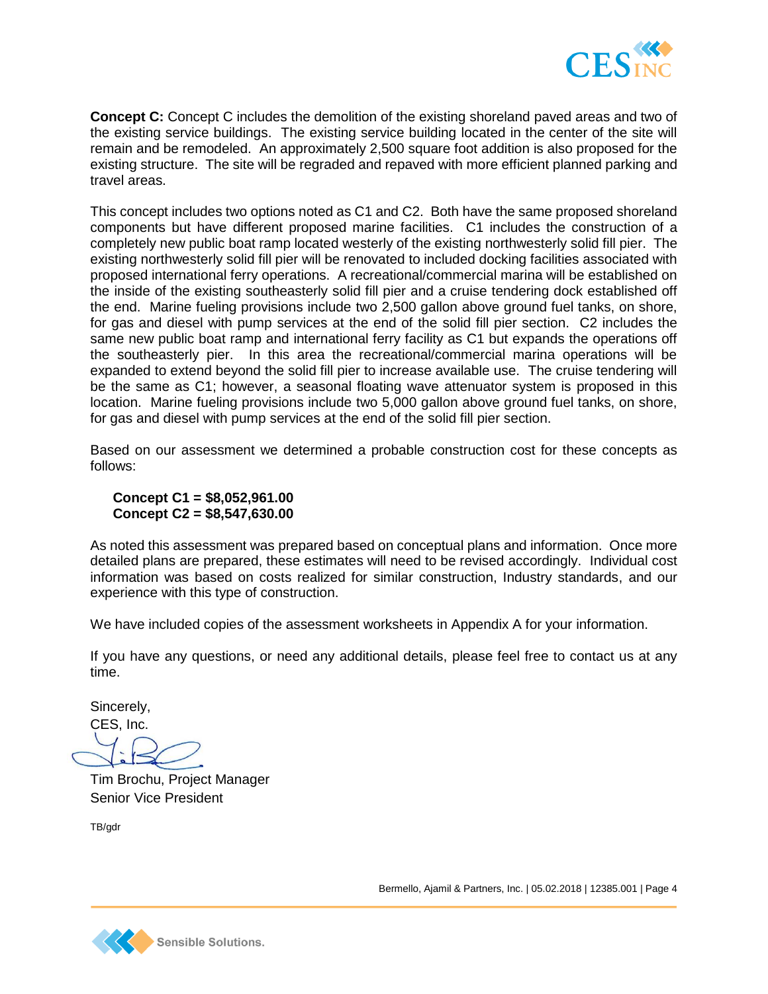

**Concept C:** Concept C includes the demolition of the existing shoreland paved areas and two of the existing service buildings. The existing service building located in the center of the site will remain and be remodeled. An approximately 2,500 square foot addition is also proposed for the existing structure. The site will be regraded and repaved with more efficient planned parking and travel areas.

This concept includes two options noted as C1 and C2. Both have the same proposed shoreland components but have different proposed marine facilities. C1 includes the construction of a completely new public boat ramp located westerly of the existing northwesterly solid fill pier. The existing northwesterly solid fill pier will be renovated to included docking facilities associated with proposed international ferry operations. A recreational/commercial marina will be established on the inside of the existing southeasterly solid fill pier and a cruise tendering dock established off the end. Marine fueling provisions include two 2,500 gallon above ground fuel tanks, on shore, for gas and diesel with pump services at the end of the solid fill pier section. C2 includes the same new public boat ramp and international ferry facility as C1 but expands the operations off the southeasterly pier. In this area the recreational/commercial marina operations will be expanded to extend beyond the solid fill pier to increase available use. The cruise tendering will be the same as C1; however, a seasonal floating wave attenuator system is proposed in this location. Marine fueling provisions include two 5,000 gallon above ground fuel tanks, on shore, for gas and diesel with pump services at the end of the solid fill pier section.

Based on our assessment we determined a probable construction cost for these concepts as follows:

## **Concept C1 = \$8,052,961.00 Concept C2 = \$8,547,630.00**

As noted this assessment was prepared based on conceptual plans and information. Once more detailed plans are prepared, these estimates will need to be revised accordingly. Individual cost information was based on costs realized for similar construction, Industry standards, and our experience with this type of construction.

We have included copies of the assessment worksheets in Appendix A for your information.

If you have any questions, or need any additional details, please feel free to contact us at any time.

Sincerely, CES, Inc.

Tim Brochu, Project Manager Senior Vice President

TB/gdr

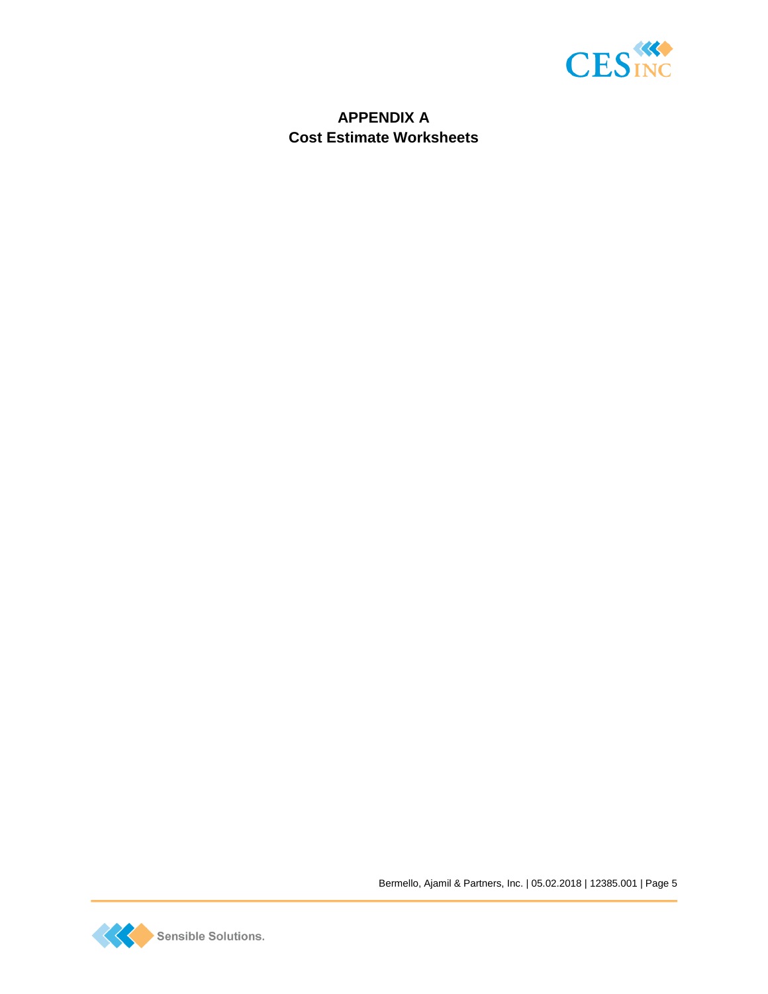

# **APPENDIX A Cost Estimate Worksheets**

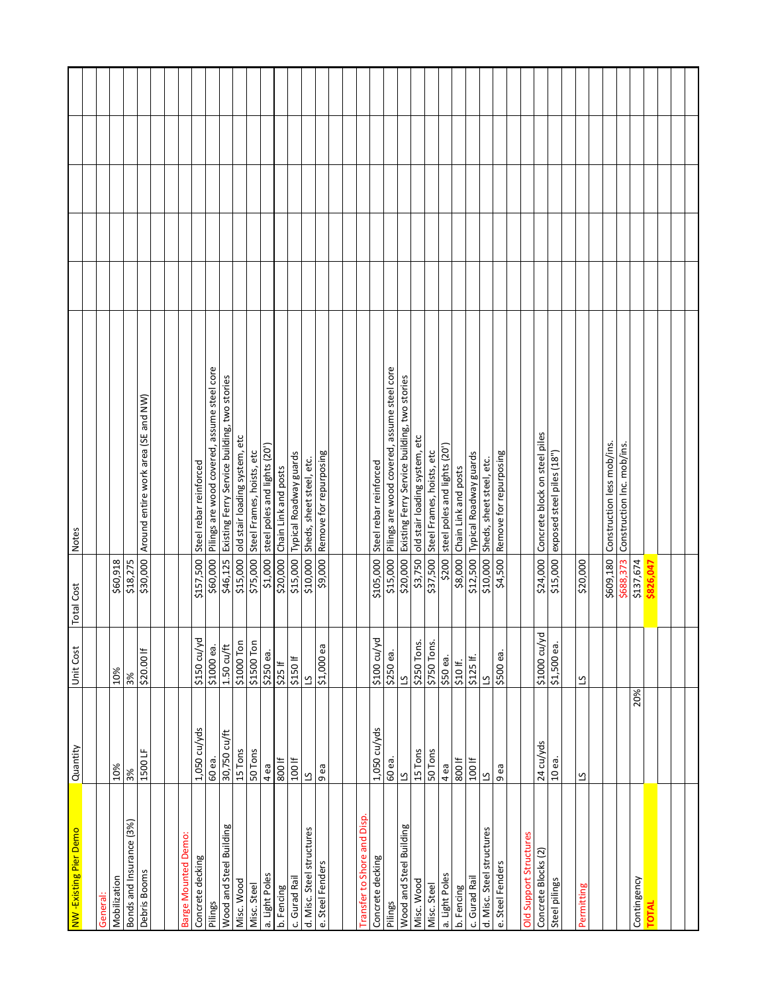| NW -Existing Pier Demo     | Quantity                 | Unit Cost               | <b>Total Cost</b> | Notes                                                 |  |  |
|----------------------------|--------------------------|-------------------------|-------------------|-------------------------------------------------------|--|--|
|                            |                          |                         |                   |                                                       |  |  |
| General:                   |                          |                         |                   |                                                       |  |  |
| Mobilization               | 10%                      | 10%                     | \$60,918          |                                                       |  |  |
| Bonds and Insurance (3%)   | 3%                       | 3%                      | \$18,275          |                                                       |  |  |
| Debris Booms               | 1500LF                   | \$20.00 If              | \$30,000          | Around entire work area (SE and NW)                   |  |  |
|                            |                          |                         |                   |                                                       |  |  |
|                            |                          |                         |                   |                                                       |  |  |
| <b>Barge Mounted Demo:</b> |                          |                         |                   |                                                       |  |  |
| Concrete decking           | 1,050 cu/yds             | \$150 cu/yd             | \$157,500         | Steel rebar reinforced                                |  |  |
| Pilings                    | 60 еа.                   | \$1000 еа.              |                   | \$60,000 Pilings are wood covered, assume steel core  |  |  |
| Wood and Steel Building    | 30,750 cu/ft             | $1.50 \text{ cu/ft}$    |                   | \$46,125 Existing Ferry Service building, two stories |  |  |
| Misc. Wood                 | 15 Tons                  | \$1000 Ton              | \$15,000          | old stair loading system, etc                         |  |  |
| Misc. Steel                | 50 Tons                  | \$1500 Ton              | \$75,000          | Steel Frames, hoists, etc                             |  |  |
| a. Light Poles             | 4 ea                     | $5250$ ea.              | \$1,000           | steel poles and lights (20')                          |  |  |
| b. Fencing                 | 800 lf                   | \$25 If                 | \$20,000          | Chain Link and posts                                  |  |  |
| c. Gurad Rail              | 100 lf                   | \$150 If                | \$15,000          | Typical Roadway guards                                |  |  |
| d. Misc. Steel structures  | ്                        | ്                       | \$10,000          | Sheds, sheet steel, etc.                              |  |  |
| e. Steel Fenders           | 9 ea                     | \$1,000 ea              |                   | \$9,000 Remove for repurposing                        |  |  |
|                            |                          |                         |                   |                                                       |  |  |
| ransfer to Shore and Disp. |                          |                         |                   |                                                       |  |  |
| Concrete decking           | $1,050$ cu/yds           | \$100 cu/yd             | \$105,000         | Steel rebar reinforced                                |  |  |
| Pilings                    | 60 еа.                   | \$250 ea.               |                   | \$15,000 Pilings are wood covered, assume steel core  |  |  |
| Wood and Steel Building    | $\overline{c}$           | $\overline{a}$          |                   | \$20,000 Existing Ferry Service building, two stories |  |  |
| Misc. Wood                 | 15 Tons                  | \$250 Tons.             | \$3,750           | old stair loading system, etc                         |  |  |
| Misc. Steel                | 50 Tons                  | \$750 Tons.             | \$37,500          | Steel Frames, hoists, etc                             |  |  |
| a. Light Poles             | 4 ea                     | \$50 ea.                | \$200             | steel poles and lights (20')                          |  |  |
| b. Fencing                 | 800 lf                   | \$10 If.                | \$8,000           | Chain Link and posts                                  |  |  |
| c. Gurad Rail              | 100 lf                   | \$125 If.               | \$12,500          | Typical Roadway guards                                |  |  |
| d. Misc. Steel structures  | $\overline{\mathbf{c}}$  | $\overline{\mathbf{c}}$ | \$10,000          | Sheds, sheet steel, etc.                              |  |  |
| e. Steel Fenders           | ea<br>Ō                  | ලී<br>\$500             | \$4,500           | Remove for repurposing                                |  |  |
|                            |                          |                         |                   |                                                       |  |  |
| Old Support Structures     |                          |                         |                   |                                                       |  |  |
| Concrete Blocks (2)        | 24 cu/yds                | \$1000 cu/yd            | \$24,000          | Concrete block on steel piles                         |  |  |
| Steel pilings              | T<br>$\overline{a}$      | ල්<br>\$1,500           | \$15,000          | exposed steel piles (18"                              |  |  |
|                            |                          |                         |                   |                                                       |  |  |
| Permitting                 | $\overline{\mathcal{C}}$ | $\overline{\mathbf{c}}$ | \$20,000          |                                                       |  |  |
|                            |                          |                         |                   |                                                       |  |  |
|                            |                          |                         | \$609,180         | Construction less mob/ins.                            |  |  |
|                            |                          |                         | \$688,373         | Construction Inc. mob/ins.                            |  |  |
| Contingency                | 20%                      |                         | \$137,674         |                                                       |  |  |
| TOTAL                      |                          |                         | \$826,047         |                                                       |  |  |
|                            |                          |                         |                   |                                                       |  |  |
|                            |                          |                         |                   |                                                       |  |  |
|                            |                          |                         |                   |                                                       |  |  |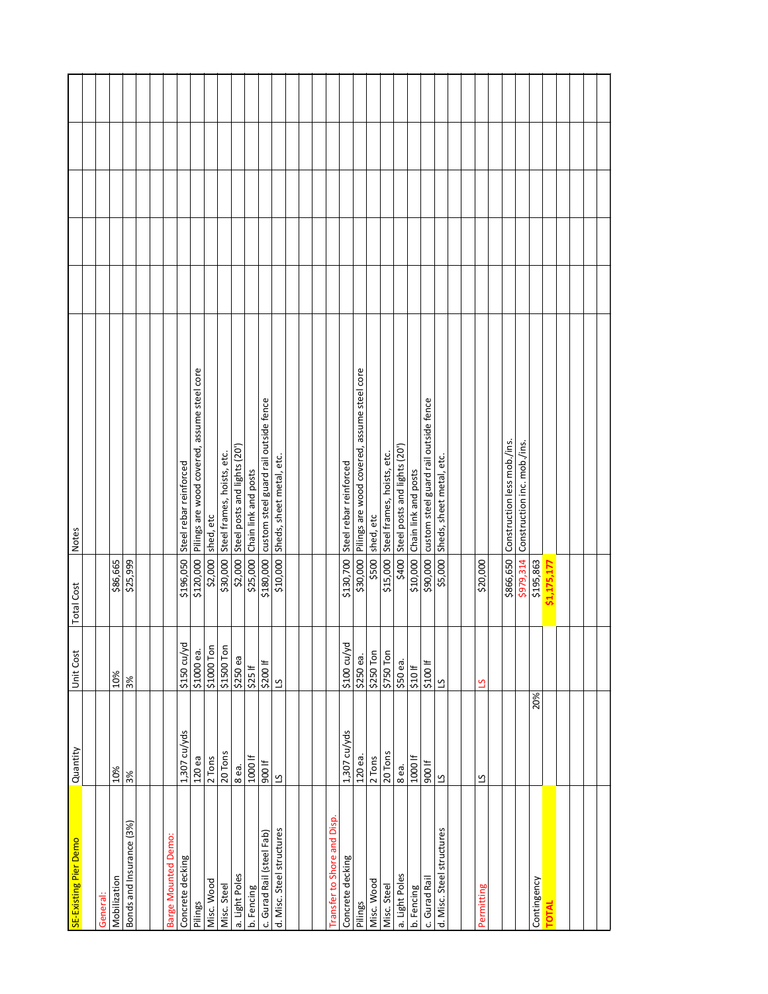| SE-Existing Pier Demo        | Quantity                 | Unit Cost               | <b>Total Cost</b> | Notes                                                 |  |  |
|------------------------------|--------------------------|-------------------------|-------------------|-------------------------------------------------------|--|--|
|                              |                          |                         |                   |                                                       |  |  |
| General:                     |                          |                         |                   |                                                       |  |  |
| Mobilization                 | 10%                      | 10%                     | \$86,665          |                                                       |  |  |
| Bonds and Insurance (3%)     | 3%                       | 3%                      | \$25,999          |                                                       |  |  |
|                              |                          |                         |                   |                                                       |  |  |
|                              |                          |                         |                   |                                                       |  |  |
| Barge Mounted Demo:          |                          |                         |                   |                                                       |  |  |
| Concrete decking             | 1,307 cu/yds             | \$150 cu/yd             |                   | \$196,050 Steel rebar reinforced                      |  |  |
| Pilings                      | 120ea                    | \$1000 еа.              |                   | \$120,000 Pilings are wood covered, assume steel core |  |  |
| Misc. Wood                   | 2 Tons                   | \$1000 Ton              | \$2,000           | shed, etc                                             |  |  |
| Misc. Steel                  | 20 Tons                  | \$1500 Ton              | \$30,000          | Steel frames, hoists, etc.                            |  |  |
| a. Light Poles               | 8ea.                     | \$250 ea                |                   | \$2,000 Steel posts and lights (20')                  |  |  |
| b. Fencing                   | 1000 lf                  | $$25 \text{ If}$        |                   | \$25,000 Chain link and posts                         |  |  |
| c. Gurad Rail (steel Fab)    | 900 If                   | \$200 If                |                   | \$180,000 custom steel guard rail outside fence       |  |  |
| d. Misc. Steel structures    | $\overline{\mathcal{C}}$ | $\overline{\mathbf{c}}$ |                   | \$10,000 Sheds, sheet metal, etc.                     |  |  |
|                              |                          |                         |                   |                                                       |  |  |
|                              |                          |                         |                   |                                                       |  |  |
|                              |                          |                         |                   |                                                       |  |  |
| and Disp<br>ransfer to Shore |                          |                         |                   |                                                       |  |  |
| Concrete decking             | 1,307 cu/yds             | \$100 cu/yd             |                   | \$130,700 Steel rebar reinforced                      |  |  |
| Pilings                      | 120 ea.                  | \$250 ea.               |                   | \$30,000 Pilings are wood covered, assume steel core  |  |  |
| Misc. Wood                   | 2 Tons                   | \$250 Ton               |                   | \$500 shed, etc                                       |  |  |
| Misc. Steel                  | 20 Tons                  | \$750 Ton               |                   | \$15,000 Steel frames, hoists, etc.                   |  |  |
| a. Light Poles               | 8ea.                     | \$50 еа.                | \$400             | Steel posts and lights (20')                          |  |  |
| b. Fencing                   | 1000 lf                  | \$10 If                 | \$10,000          | Chain link and posts                                  |  |  |
| c. Gurad Rail                | 900 lf                   | \$100 If                | \$90,000          | custom steel guard rail outside fence                 |  |  |
| d. Misc. Steel structures    | 2                        | ്                       | \$5,000           | Sheds, sheet metal, etc.                              |  |  |
|                              |                          |                         |                   |                                                       |  |  |
|                              |                          |                         |                   |                                                       |  |  |
| Permitting                   | ്വ                       | ്വ                      | \$20,000          |                                                       |  |  |
|                              |                          |                         |                   |                                                       |  |  |
|                              |                          |                         | \$866,650         | Construction less mob./ins.                           |  |  |
|                              |                          |                         | \$979,314         | Construction inc. mob./ins.                           |  |  |
| Contingency                  | 20%                      |                         | \$195,863         |                                                       |  |  |
| <b>TOTAL</b>                 |                          |                         | \$1,175,177       |                                                       |  |  |
|                              |                          |                         |                   |                                                       |  |  |
|                              |                          |                         |                   |                                                       |  |  |
|                              |                          |                         |                   |                                                       |  |  |
|                              |                          |                         |                   |                                                       |  |  |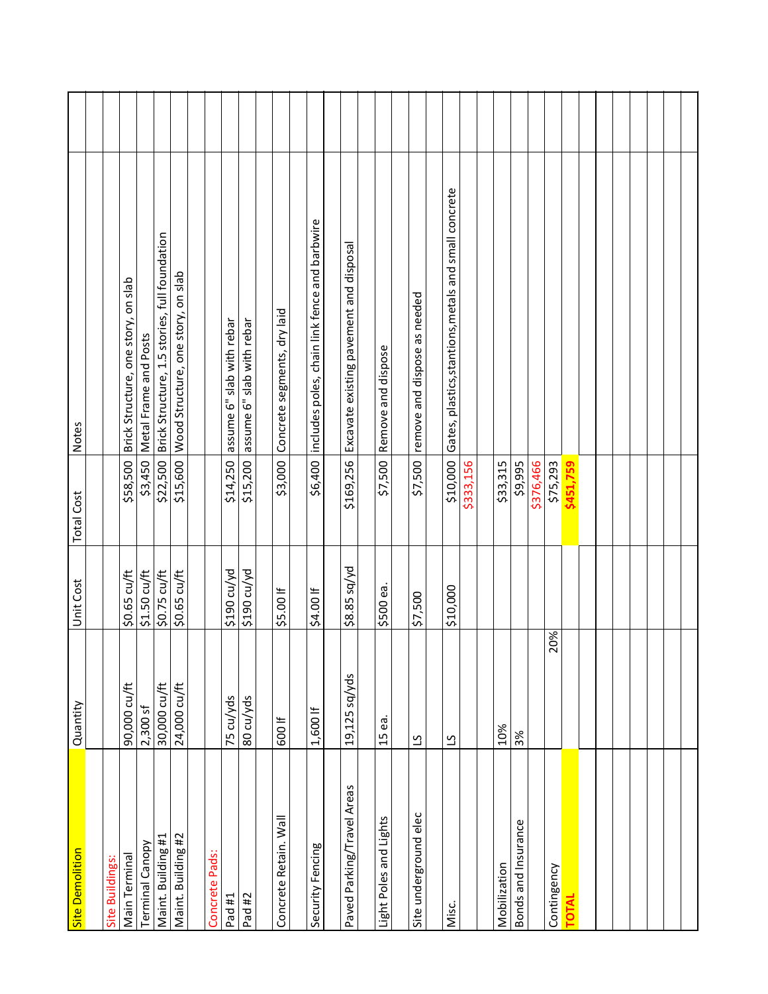| Site Demolition            | Quantity       | Unit Cost    | <b>Total Cost</b> | <b>Notes</b>                                           |  |
|----------------------------|----------------|--------------|-------------------|--------------------------------------------------------|--|
| Site Buildings:            |                |              |                   |                                                        |  |
| Main Terminal              | 90,000 cu/ft   | \$0.65 cu/ft | \$58,500          | Brick Structure, one story, on slab                    |  |
| Terminal Canopy            | $2,300$ sf     | \$1.50 cu/ft |                   | \$3,450   Metal Frame and Posts                        |  |
| Maint. Building #1         | 30,000 cu/ft   | \$0.75 cu/ft |                   | \$22,500 Brick Structure, 1.5 stories, full foundation |  |
| Maint. Building #2         | 24,000 cu/ft   | \$0.65 cu/ft |                   | \$15,600 Wood Structure, one story, on slab            |  |
| Concrete Pads:             |                |              |                   |                                                        |  |
| Pad #1                     | 75 cu/yds      | \$190 cu/yd  | \$14,250          | assume 6" slab with rebar                              |  |
| Pad #2                     | 80 cu/yds      | \$190 cu/yd  | \$15,200          | assume 6" slab with rebar                              |  |
|                            |                |              |                   |                                                        |  |
| Concrete Retain. Wall      | 600 lf         | \$5.00 If    | \$3,000           | Concrete segments, dry laid                            |  |
| Security Fencing           | $1,600$ If     | \$4.00 If    | \$6,400           | includes poles, chain link fence and barbwire          |  |
|                            |                |              |                   |                                                        |  |
| Paved Parking/Travel Areas | 19,125 sq/yds  | \$8.85 sq/yd | \$169,256         | Excavate existing pavement and disposal                |  |
| Light Poles and Lights     | 15 ea.         | \$500 ea     | \$7,500           | Remove and dispose                                     |  |
|                            |                |              |                   |                                                        |  |
| Site underground elec      | 51             | \$7,500      | \$7,500           | remove and dispose as needed                           |  |
|                            |                |              |                   |                                                        |  |
| Misc.                      | $\overline{c}$ | \$10,000     | \$10,000          | Gates, plastics, stantions, metals and small concrete  |  |
|                            |                |              | \$333,156         |                                                        |  |
| Mobilization               | 10%            |              | \$33,315          |                                                        |  |
|                            |                |              |                   |                                                        |  |
| Bonds and Insurance        | 3%             |              | \$9,995           |                                                        |  |
|                            |                |              | \$376,466         |                                                        |  |
| Contingency                | 20%            |              | \$75,293          |                                                        |  |
| <b>TOTAL</b>               |                |              | \$451,759         |                                                        |  |
|                            |                |              |                   |                                                        |  |
|                            |                |              |                   |                                                        |  |
|                            |                |              |                   |                                                        |  |
|                            |                |              |                   |                                                        |  |
|                            |                |              |                   |                                                        |  |
|                            |                |              |                   |                                                        |  |
|                            |                |              |                   |                                                        |  |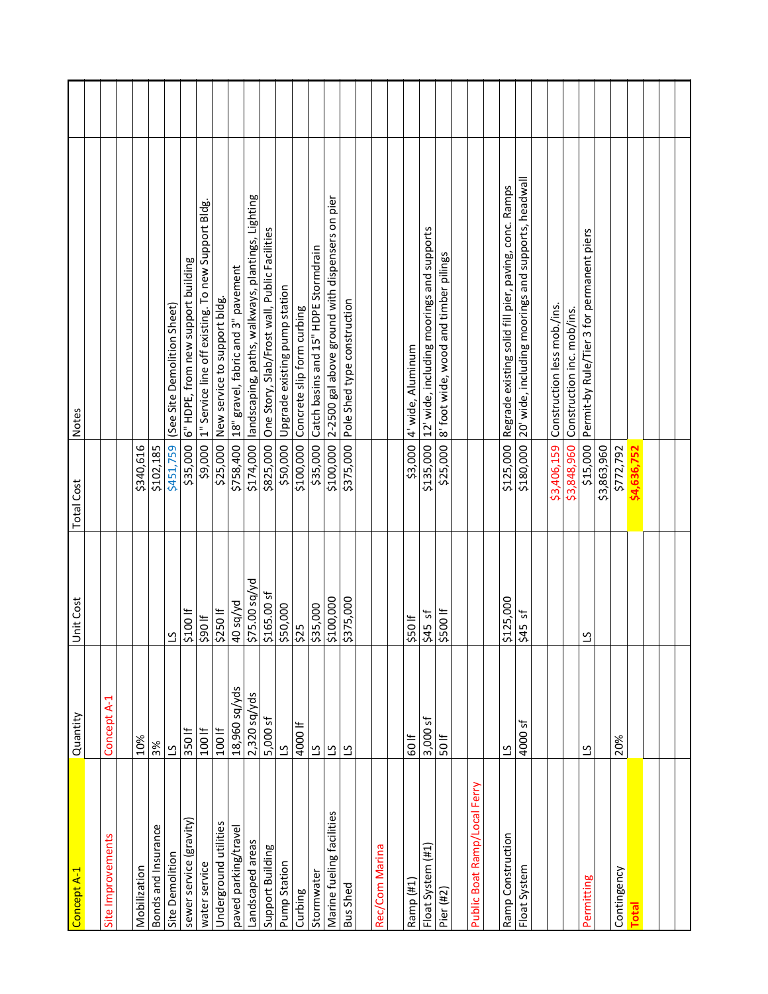| Concept A-1                  | Quantity        | Unit Cost      | <b>Total Cost</b> | <b>Notes</b>                                               |  |
|------------------------------|-----------------|----------------|-------------------|------------------------------------------------------------|--|
|                              |                 |                |                   |                                                            |  |
| Site Improvements            | Concept A-1     |                |                   |                                                            |  |
|                              |                 |                |                   |                                                            |  |
| Mobilization                 | 10%             |                | \$340,616         |                                                            |  |
| Bonds and Insurance          | 3%              |                | \$102,185         |                                                            |  |
| Site Demolition              | $\overline{c}$  | $\overline{5}$ | \$451,759         | (See Site Demolition Sheet)                                |  |
| sewer service (gravity)      | 350 lf          | \$100 If       | \$35,000          | 6" HDPE, from new support building                         |  |
| water service                | 100 If          | 1065           |                   | \$9,000  1" Service line off existing. To new Support Bldg |  |
| Underground utilities        | 100 lf          | 5250           |                   | \$25,000 New service to support bldg.                      |  |
| paved parking/travel         | 18,960 sq/yds   | b/bs 04        |                   | \$758,400 18" gravel, fabric and 3" pavement               |  |
| Landscaped areas             | $2,320$ sq/yds  | \$75.00 sq/yd  | \$174,000         | landscaping, paths, walkways, plantings, Lighting          |  |
| Support Building             | 5,000 sf        | \$165.00 sf    | \$825,000         | One Story, Slab/Frost wall, Public Facilities              |  |
| Pump Station                 | $\overline{c}$  | \$50,000       | \$50,000          | Upgrade existing pump station                              |  |
| Curbing                      | 4000 lf         | 525            | \$100,000         | Concrete slip form curbing                                 |  |
| Stormwater                   | $\overline{c}$  | \$35,000       | \$35,000          | Catch basins and 15" HDPE Stormdrain                       |  |
| Marine fueling facilities    | $\overline{c}$  | \$100,000      | \$100,000         | 2-2500 gal above ground with dispensers on pier            |  |
| <b>Bus Shed</b>              | $\overline{c}$  | \$375,000      | \$375,000         | Pole Shed type construction                                |  |
|                              |                 |                |                   |                                                            |  |
| Rec/Com Marina               |                 |                |                   |                                                            |  |
|                              |                 |                |                   |                                                            |  |
| Ramp (#1)                    | 60 lf           | 550            | \$3,000           | 4' wide, Aluminum                                          |  |
| Float System (#1)            | $3,000$ sf      | $545$ sf       |                   | \$135,000 12' wide, including moorings and supports        |  |
| Pier (#2)                    | $50 \text{ If}$ | \$500 If       | \$25,000          | 8' foot wide, wood and timber pilings                      |  |
|                              |                 |                |                   |                                                            |  |
| Public Boat Ramp/Local Ferry |                 |                |                   |                                                            |  |
|                              |                 |                |                   |                                                            |  |
| Ramp Construction            | $\overline{c}$  | \$125,000      | \$125,000         | Regrade existing solid fill pier, paving, conc. Ramps      |  |
| Float System                 | 4000 sf         | ৳<br>\$45      | \$180,000         | 20' wide, including moorings and supports, headwall        |  |
|                              |                 |                |                   |                                                            |  |
|                              |                 |                | \$3,406,159       | Construction less mob./ins.                                |  |
|                              |                 |                |                   | \$3,848,960 Construction inc. mob/ins.                     |  |
| Permitting                   | $\overline{c}$  | $\overline{5}$ | \$15,000          | Permit-by Rule/Tier 3 for permanent piers                  |  |
|                              |                 |                | \$3,863,960       |                                                            |  |
| Contingency                  | 20%             |                | \$772,792         |                                                            |  |
| <b>Total</b>                 |                 |                | \$4,636,752       |                                                            |  |
|                              |                 |                |                   |                                                            |  |
|                              |                 |                |                   |                                                            |  |
|                              |                 |                |                   |                                                            |  |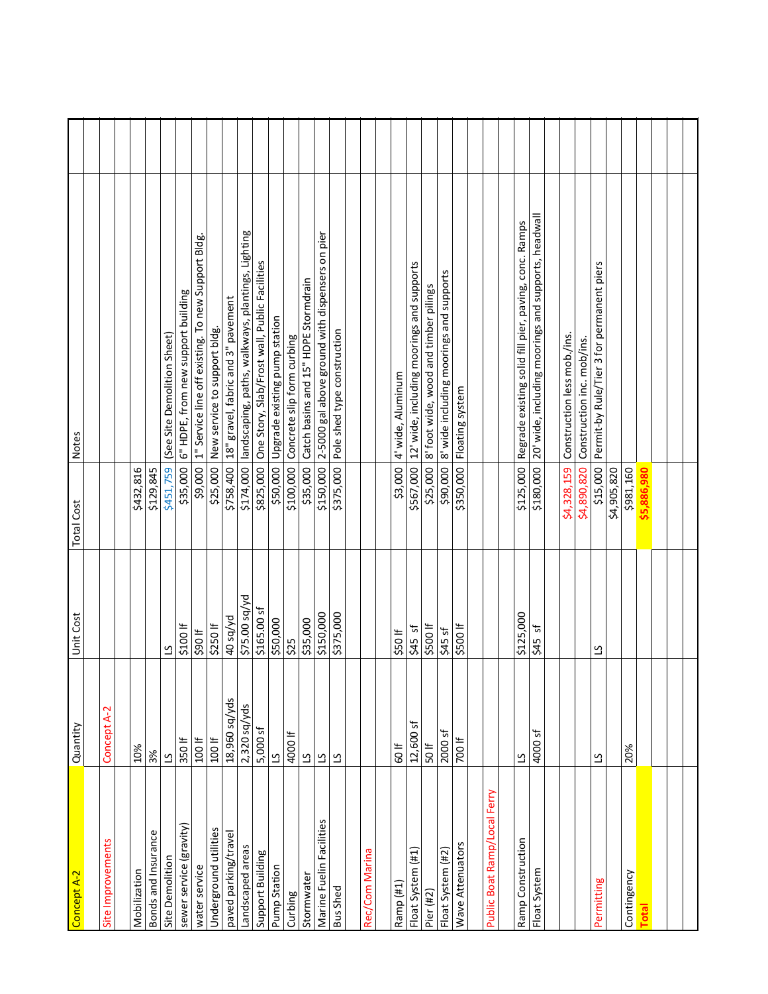| <b>Notes</b>      |                   |              |                     | (See Site Demolition Sheet) | 6" HDPE, from new support building | 1" Service line off existing. To new Support Bldg. | \$25,000 New service to support bldg | \$758,400 18" gravel, fabric and 3" pavement | landscaping, paths, walkways, plantings, Lighting | One Story, Slab/Frost wall, Public Facilities | Upgrade existing pump station | Concrete slip form curbing | \$35,000 Catch basins and 15" HDPE Stormdrain | 2-5000 gal above ground with dispensers on pier | \$375,000 Pole shed type construction |                | 4' wide, Aluminum | 12' wide, including moorings and supports | 8' foot wide, wood and timber pilings | 8' wide including moorings and supports | Floating system  |                              | Regrade existing solid fill pier, paving, conc. Ramps | 20' wide, including moorings and supports, headwall | Construction less mob./ins. | Construction inc. mob/ins. | Permit-by Rule/Tier 3 for permanent piers |             |             |              |  |  |
|-------------------|-------------------|--------------|---------------------|-----------------------------|------------------------------------|----------------------------------------------------|--------------------------------------|----------------------------------------------|---------------------------------------------------|-----------------------------------------------|-------------------------------|----------------------------|-----------------------------------------------|-------------------------------------------------|---------------------------------------|----------------|-------------------|-------------------------------------------|---------------------------------------|-----------------------------------------|------------------|------------------------------|-------------------------------------------------------|-----------------------------------------------------|-----------------------------|----------------------------|-------------------------------------------|-------------|-------------|--------------|--|--|
| <b>Total Cost</b> |                   | \$432,816    | \$129,845           | \$451,759                   | \$35,000                           | \$9,000                                            |                                      |                                              | \$174,000                                         | \$825,000                                     | \$50,000                      | \$100,000                  |                                               | \$150,000                                       |                                       |                | \$3,000           | \$567,000                                 | \$25,000                              | \$90,000                                | \$350,000        |                              | \$125,000                                             | \$180,000                                           | \$4,328,159                 | \$4,890,820                | \$15,000                                  | \$4,905,820 | \$981,160   | \$5,886,980  |  |  |
| Unit Cost         |                   |              |                     | ്വ                          | \$100 If                           | H 06\$                                             | \$250 lf                             | bV/ps 04                                     | \$75.00 sq/yd                                     | \$165.00 sf                                   | \$50,000                      | \$25                       | \$35,000                                      | \$150,000                                       | \$375,000                             |                | 550               | $545$ sf                                  | \$500 If                              | $$45$ sf                                | \$500 lf         |                              | \$125,000                                             | 5<br>\$45                                           |                             |                            | ്വ                                        |             |             |              |  |  |
| Quantity          | Concept A-2       | 10%          | 3%                  | $\overline{c}$              | 350 lf                             | 100 lf                                             | 100 lf                               | 18,960 sq/yds                                | 2,320 sq/yds                                      | 5,000 sf                                      | $\overline{\mathcal{C}}$      | 4000 lf                    | $\overline{c}$                                | $\overline{\mathcal{C}}$                        | $\overline{\mathcal{C}}$              |                | 60 lf             | 12,600 sf                                 | 50 lf                                 | ᡃᢑ<br>2000                              | 700 lf           |                              | ്വ                                                    | 4000 sf                                             |                             |                            | $\overline{a}$                            |             | 20%         |              |  |  |
| Concept A-2       | Site Improvements | Mobilization | Bonds and Insurance | Site Demolition             | sewer service (gravity)            | water service                                      | Underground utilities                | paved parking/travel                         | Landscaped areas                                  | Support Building                              | Pump Station                  | Curbing                    | Stormwater                                    | Marine Fuelin Facilities                        | <b>Bus Shed</b>                       | Rec/Com Marina | Ramp (#1)         | Float System (#1)                         | Pier (#2)                             | Float System (#2)                       | Wave Attenuators | Public Boat Ramp/Local Ferry | Ramp Construction                                     | Float System                                        |                             |                            | Permitting                                |             | Contingency | <b>Total</b> |  |  |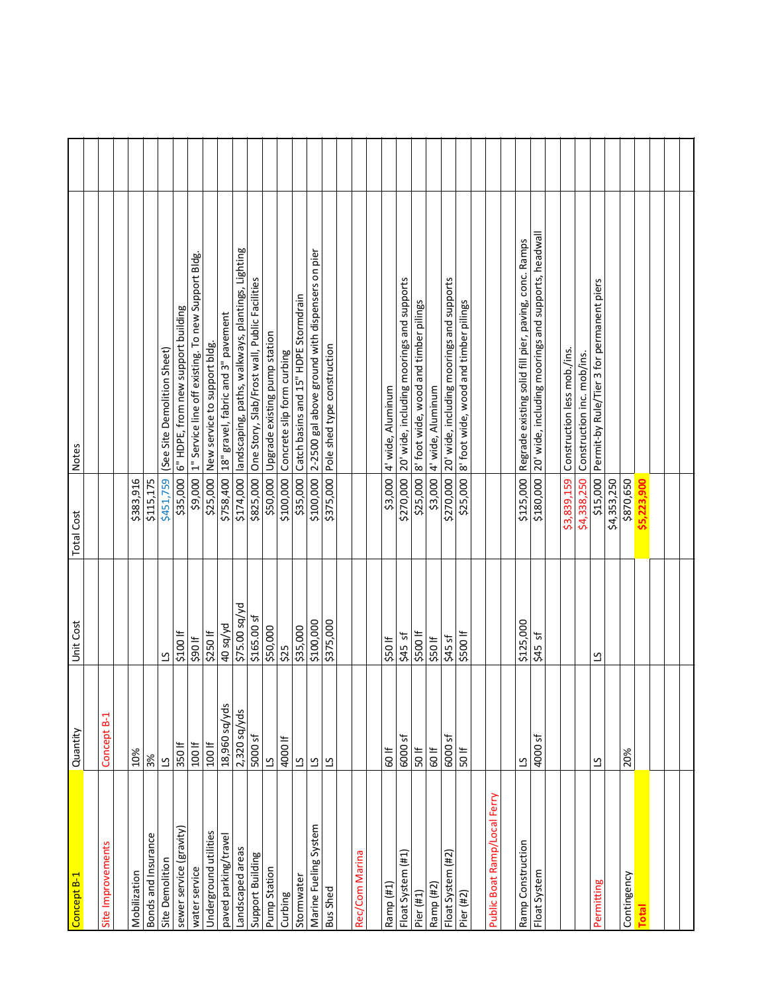| Concept B-1                  | Quantity                | Unit Cost     | <b>Total Cost</b> | Notes                                                           |
|------------------------------|-------------------------|---------------|-------------------|-----------------------------------------------------------------|
| Site Improvements            | Concept B-1             |               |                   |                                                                 |
|                              |                         |               |                   |                                                                 |
| Mobilization                 | 10%                     |               | \$383,916         |                                                                 |
| Bonds and Insurance          | 3%                      |               | \$115,175         |                                                                 |
| Site Demolition              | $\overline{c}$          | ⊻             | \$451,759         | (See Site Demolition Sheet)                                     |
| sewer service (gravity)      | 350 lf                  | \$100 If      | \$35,000          | 6" HDPE, from new support building                              |
| water service                | 100 lf                  | \$90 If       | \$9,000           | 1" Service line off existing. To new Support Bldg.              |
| Underground utilities        | 100 lf                  | \$250 lf      | \$25,000          | New service to support bldg.                                    |
| paved parking/travel         | 18,960 sq/yds           | 40 sq/yd      | \$758,400         | 18" gravel, fabric and 3" pavement                              |
| Landscaped areas             | 2,320 sq/yds            | \$75.00 sq/yd |                   | \$174,000  landscaping, paths, walkways, plantings, Lighting    |
| Support Building             | 5000 sf                 | \$165.00 sf   | \$825,000         | One Story, Slab/Frost wall, Public Facilities                   |
| Pump Station                 | $\overline{c}$          | \$50,000      |                   | \$50,000 Upgrade existing pump station                          |
| Curbing                      | 4000 lf                 | \$25          | \$100,000         | Concrete slip form curbing                                      |
| Stormwater                   | $\overline{\mathbf{c}}$ | \$35,000      | \$35,000          | Catch basins and 15" HDPE Stormdrain                            |
| Marine Fueling System        | $\overline{\mathbf{c}}$ | \$100,000     | \$100,000         | 2-2500 gal above ground with dispensers on pier                 |
| <b>Bus Shed</b>              | $\overline{c}$          | \$375,000     | \$375,000         | Pole shed type construction                                     |
|                              |                         |               |                   |                                                                 |
| Rec/Com Marina               |                         |               |                   |                                                                 |
|                              |                         |               |                   |                                                                 |
| Ramp (#1)                    | <b>\$00</b>             | \$50 If       | \$3,000           | 4' wide, Aluminum                                               |
| Float System (#1)            | 6000 <sub>sf</sub>      | $545$ sf      |                   | \$270,000 20' wide, including moorings and supports             |
| Pier (#1)                    | 50 lf                   | \$500 lf      | \$25,000          | 8' foot wide, wood and timber pilings                           |
| Ramp (#2)                    | 60 lf                   | \$50 If       | \$3,000           | 4' wide, Aluminum                                               |
| Float System (#2)            | 6000 sf                 | $545$ sf      | \$270,000         | 20' wide, including moorings and supports                       |
| Pier (#2)                    | 50 lf                   | \$500 If      | \$25,000          | 8' foot wide, wood and timber pilings                           |
| Public Boat Ramp/Local Ferry |                         |               |                   |                                                                 |
|                              |                         |               |                   |                                                                 |
| Ramp Construction            | $\overline{c}$          | \$125,000     |                   | \$125,000 Regrade existing solid fill pier, paving, conc. Ramps |
| Float System                 | 4000 sf                 | 5<br>545      | \$180,000         | 20' wide, including moorings and supports, headwall             |
|                              |                         |               |                   |                                                                 |
|                              |                         |               | \$3,839,159       | Construction less mob./ins.                                     |
|                              |                         |               |                   | \$4,338,250 Construction inc. mob/ins.                          |
| Permitting                   | $\overline{c}$          | $\mathbf{r}$  | \$15,000          | Permit-by Rule/Tier 3 for permanent piers                       |
|                              |                         |               | \$4,353,250       |                                                                 |
| Contingency                  | 20%                     |               | \$870,650         |                                                                 |
| Total                        |                         |               | \$5,223,900       |                                                                 |
|                              |                         |               |                   |                                                                 |
|                              |                         |               |                   |                                                                 |
|                              |                         |               |                   |                                                                 |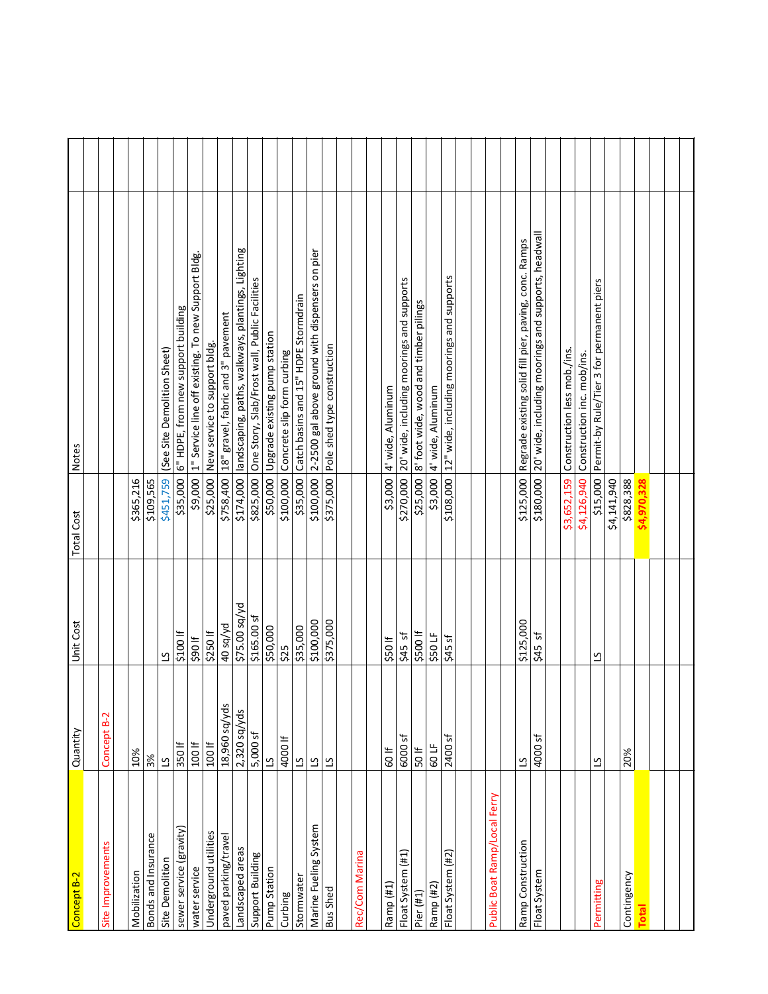| Concept B-2                  | Quantity                 | Unit Cost     | <b>Total Cost</b> | Notes                                                           |  |
|------------------------------|--------------------------|---------------|-------------------|-----------------------------------------------------------------|--|
|                              |                          |               |                   |                                                                 |  |
| Site Improvements            | Concept B-2              |               |                   |                                                                 |  |
| Mobilization                 | 10%                      |               | \$365,216         |                                                                 |  |
| Bonds and Insurance          | 3%                       |               | \$109,565         |                                                                 |  |
| Site Demolition              | $\Omega$                 | $\mathbf{r}$  | \$451,759         | (See Site Demolition Sheet)                                     |  |
| sewer service (gravity)      | 350 lf                   | \$100 If      |                   | \$35,000  6" HDPE, from new support building                    |  |
| water service                | 100 lf                   | 106\$         | \$9,000           | 1" Service line off existing. To new Support Bldg               |  |
| Underground utilities        | 100 lf                   | \$250 lf      | \$25,000          | New service to support bidg.                                    |  |
| paved parking/travel         | 18,960 sq/yds            | bV/ps 04      | \$758,400         | 18" gravel, fabric and 3" pavement                              |  |
| Landscaped areas             | 2,320 sq/yds             | \$75.00 sq/yd | \$174,000         | landscaping, paths, walkways, plantings, Lighting               |  |
| Support Building             | 5,000 sf                 | \$165.00 sf   | \$825,000         | One Story, Slab/Frost wall, Public Facilities                   |  |
| Pump Station                 | $\overline{\mathcal{L}}$ | \$50,000      | \$50,000          | Upgrade existing pump station                                   |  |
| Curbing                      | 4000 lf                  | \$25          | \$100,000         | Concrete slip form curbing                                      |  |
| Stormwater                   | $\overline{c}$           | \$35,000      | \$35,000          | Catch basins and 15" HDPE Stormdrain                            |  |
| Marine Fueling System        | $\overline{c}$           | \$100,000     |                   | \$100,000 2-2500 gal above ground with dispensers on pier       |  |
| <b>Bus Shed</b>              | $\overline{c}$           | \$375,000     |                   | \$375,000 Pole shed type construction                           |  |
|                              |                          |               |                   |                                                                 |  |
| Rec/Com Marina               |                          |               |                   |                                                                 |  |
| Ramp (#1)                    | 60 lf                    | 550           |                   | \$3,000 4' wide, Aluminum                                       |  |
| Float System (#1)            | 6000 sf                  | $545$ sf      | \$270,000         | 20' wide, including moorings and supports                       |  |
| Pier $(#1)$                  | 50 lf                    | \$500 If      | \$25,000          | 8' foot wide, wood and timber pilings                           |  |
| Ramp (#2)                    | 60LF                     | \$50 LF       | \$3,000           | 4' wide, Aluminum                                               |  |
| Float System (#2)            | 2400 sf                  | $$45$ sf      |                   | \$108,000 12" wide, including moorings and supports             |  |
|                              |                          |               |                   |                                                                 |  |
|                              |                          |               |                   |                                                                 |  |
| Public Boat Ramp/Local Ferry |                          |               |                   |                                                                 |  |
| Ramp Construction            | $\overline{c}$           | \$125,000     |                   | \$125,000 Regrade existing solid fill pier, paving, conc. Ramps |  |
| Float System                 | 4000 sf                  | 5<br>\$45     | \$180,000         | 20' wide, including moorings and supports, headwall             |  |
|                              |                          |               |                   |                                                                 |  |
|                              |                          |               | \$3,652,159       | Construction less mob./ins.                                     |  |
|                              |                          |               |                   | \$4,126,940 Construction inc. mob/ins.                          |  |
| Permitting                   | $\mathbf{c}$             | ്വ            | \$15,000          | Permit-by Rule/Tier 3 for permanent piers                       |  |
|                              |                          |               | \$4,141,940       |                                                                 |  |
| Contingency                  | 20%                      |               | \$828,388         |                                                                 |  |
| <b>Total</b>                 |                          |               | \$4,970,328       |                                                                 |  |
|                              |                          |               |                   |                                                                 |  |
|                              |                          |               |                   |                                                                 |  |
|                              |                          |               |                   |                                                                 |  |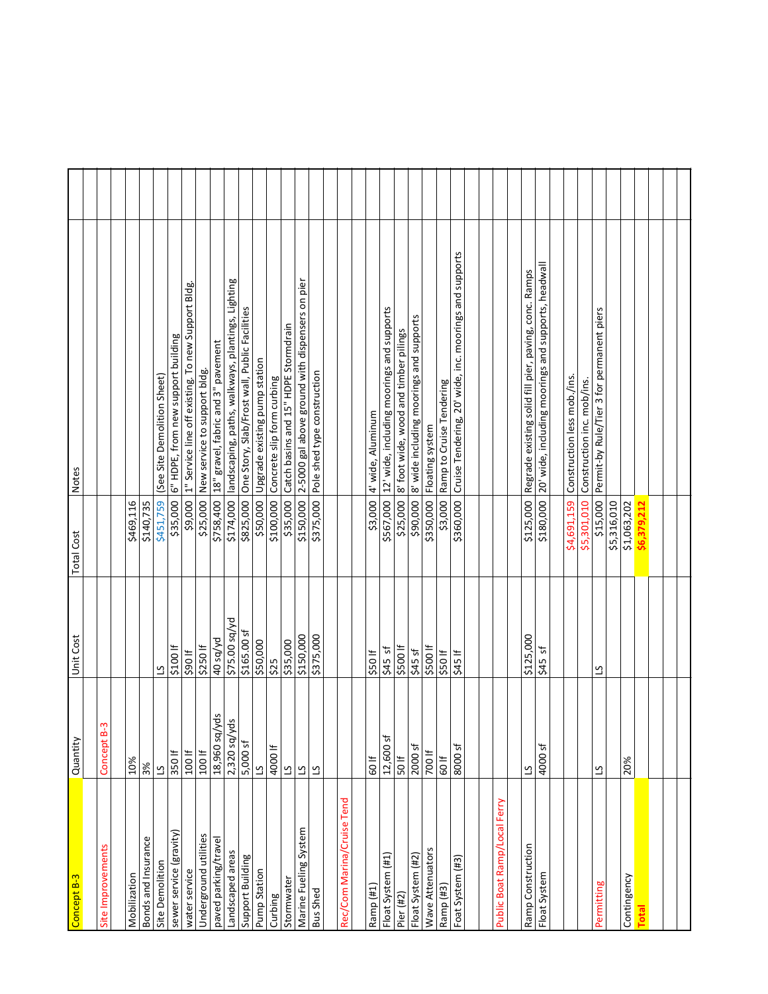| Concept B-3 Quantity         |                          | Unit Cost     | Total Cost  | Notes                                                            |  |
|------------------------------|--------------------------|---------------|-------------|------------------------------------------------------------------|--|
|                              |                          |               |             |                                                                  |  |
| Site Improvements            | Concept B-3              |               |             |                                                                  |  |
| Mobilization                 | 10%                      |               | \$469,116   |                                                                  |  |
| <b>Bonds and Insurance</b>   | 3%                       |               | \$140,735   |                                                                  |  |
| Site Demolition              | $\overline{\mathcal{C}}$ | ്വ            | \$451,759   | (See Site Demolition Sheet)                                      |  |
| sewer service (gravity)      | 350 If                   | \$100 If      | \$35,000    | 6" HDPE, from new support building                               |  |
| water service                | 100 lf                   | \$90 If       |             | \$9,000 1" Service line off existing. To new Support Bldg.       |  |
| Underground utilities        | 100 lf                   | \$250 lf      |             | \$25,000 New service to support bldg.                            |  |
| paved parking/travel         | 18,960 sq/yds            | 40 sq/yd      | \$758,400   | 18" gravel, fabric and 3" pavement                               |  |
| Landscaped areas             | yds<br>$2,320$ sq/       | \$75.00 sq/yd | \$174,000   | landscaping, paths, walkways, plantings, Lighting                |  |
| Support Building             | 5,000 sf                 | \$165.00 sf   | \$825,000   | One Story, Slab/Frost wall, Public Facilities                    |  |
| Pump Station                 | ്വ                       | \$50,000      | \$50,000    | Upgrade existing pump station                                    |  |
| Curbing                      | 4000 lf                  | \$25          | \$100,000   | Concrete slip form curbing                                       |  |
| Stormwater                   | $\overline{\mathcal{C}}$ | \$35,000      | \$35,000    | Catch basins and 15" HDPE Stormdrain                             |  |
| Marine Fueling System        | $\overline{\mathcal{C}}$ | \$150,000     | \$150,000   | 2-5000 gal above ground with dispensers on pier                  |  |
| <b>Bus Shed</b>              | <u>്</u>                 | \$375,000     | \$375,000   | Pole shed type construction                                      |  |
|                              |                          |               |             |                                                                  |  |
| Rec/Com Marina/Cruise Tend   |                          |               |             |                                                                  |  |
| Ramp (#1                     | 60 lf                    | \$50 If       | \$3,000     | 4' wide, Aluminum                                                |  |
| Float System (#1)            | 12,600 sf                | $545$ sf      |             | \$567,000   12' wide, including moorings and supports            |  |
| Pier (#2)                    | 50 lf                    | \$500 lf      | \$25,000    | 8' foot wide, wood and timber pilings                            |  |
| Float System (#2)            | 2000 sf                  | $545$ sf      | \$90,000    | 8' wide including moorings and supports                          |  |
| Wave Attenuators             | 700 If                   | \$500 If      |             | \$350,000 Floating system                                        |  |
| Ramp (#3)                    | 60 If                    | \$50 If       | \$3,000     | Ramp to Cruise Tendering                                         |  |
|                              |                          |               |             |                                                                  |  |
| Foat System (#3)             | 8000 <sub>sf</sub>       | \$45 If       |             | \$360,000 Cruise Tendering, 20' wide, inc. moorings and supports |  |
|                              |                          |               |             |                                                                  |  |
| Public Boat Ramp/Local Ferry |                          |               |             |                                                                  |  |
|                              |                          |               |             |                                                                  |  |
| Ramp Construction            | ്വ                       | \$125,000     | \$125,000   | Regrade existing solid fill pier, paving, conc. Ramps            |  |
| Float System                 | 4000 sf                  | $545$ sf      | \$180,000   | 20' wide, including moorings and supports, headwall              |  |
|                              |                          |               | \$4,691,159 | Construction less mob./ins.                                      |  |
|                              |                          |               | \$5,301,010 | Construction inc. mob/ins.                                       |  |
| Permitting                   | $\overline{\mathcal{C}}$ | ്വ            | \$15,000    | Permit-by Rule/Tier 3 for permanent piers                        |  |
|                              |                          |               | \$5,316,010 |                                                                  |  |
| Contingency                  | 20%                      |               | \$1,063,202 |                                                                  |  |
| <b>Total</b>                 |                          |               | \$6,379,212 |                                                                  |  |
|                              |                          |               |             |                                                                  |  |
|                              |                          |               |             |                                                                  |  |
|                              |                          |               |             |                                                                  |  |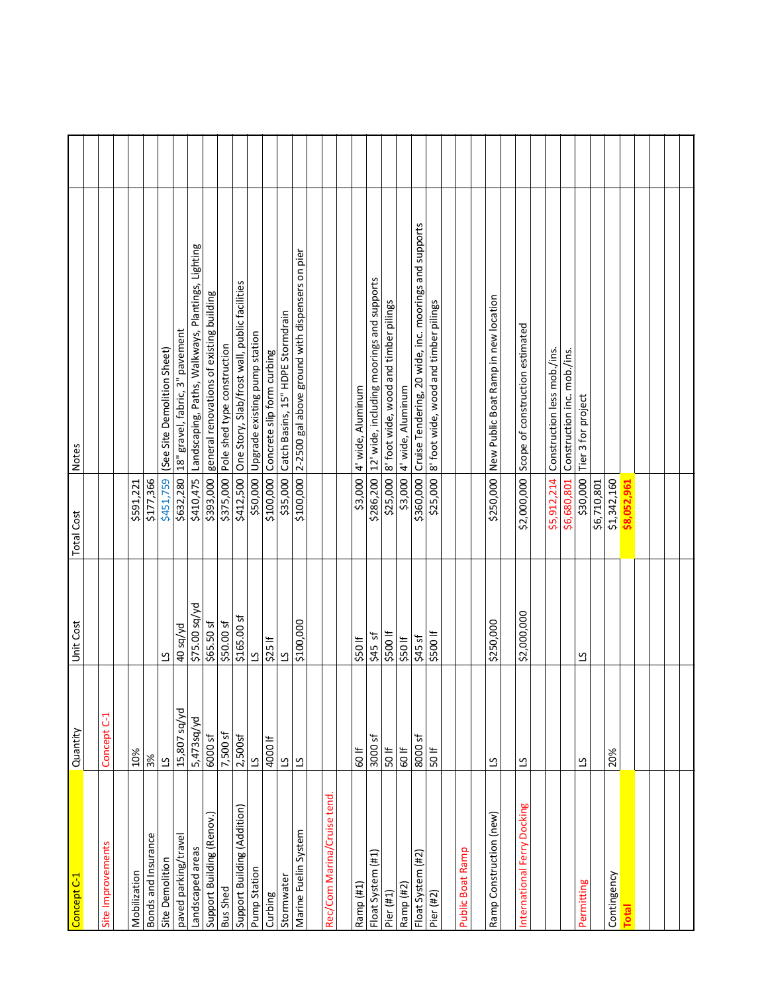| Concept C-1                 | Quantity                | Unit Cost      | Total Cost  | Notes                                                 |  |
|-----------------------------|-------------------------|----------------|-------------|-------------------------------------------------------|--|
|                             |                         |                |             |                                                       |  |
| Site Improvements           | Concept C-1             |                |             |                                                       |  |
|                             |                         |                |             |                                                       |  |
| Mobilization                | 10%                     |                | \$591,221   |                                                       |  |
| Bonds and Insurance         | 3%                      |                | \$177,366   |                                                       |  |
| Site Demolition             | $\overline{c}$          | ്വ             | \$451,759   | (See Site Demolition Sheet)                           |  |
| paved parking/travel        | 15,807 sq/yd            | 40 sq/yd       | \$632,280   | 18" gravel, fabric, 3" pavement                       |  |
| Landscaped areas            | 5,473sq/yd              | \$75.00 sq/yd  | \$410,475   | Landscaping, Paths, Walkways, Plantings, Lighting     |  |
| Support Building (Renov.)   | <b>6000sf</b>           | $$65.50$ sf    | \$393,000   | general renovations of existing building              |  |
| <b>Bus Shed</b>             | 7,500 sf                | \$50.00 sf     | \$375,000   | Pole shed type construction                           |  |
| Support Building (Addition) | 2,500s                  | \$165.00 sf    | \$412,500   | One Story, Slab/frost wall, public facilities         |  |
| Pump Station                | $\overline{c}$          | $\overline{c}$ | \$50,000    | Upgrade existing pump station                         |  |
| Curbing                     | 4000 lf                 | $$25$ If       | \$100,000   | Concrete slip form curbing                            |  |
| Stormwater                  | $\overline{c}$          | ്വ             | \$35,000    | Catch Basins, 15" HDPE Stormdrain                     |  |
| Marine Fuelin System        | $\overline{\mathbf{c}}$ | \$100,000      | \$100,000   | 2-2500 gal above ground with dispensers on pier       |  |
|                             |                         |                |             |                                                       |  |
| Rec/Com Marina/Cruise tend  |                         |                |             |                                                       |  |
|                             |                         |                |             |                                                       |  |
| Ramp (#1)                   | 60 lf                   | \$50 If        | \$3,000     | 4' wide, Aluminum                                     |  |
| Float System (#1)           | 3000 sf                 | $545$ sf       |             | \$286,200 12' wide, including moorings and supports   |  |
| Pier (#1)                   | 50 lf                   | \$500 If       | \$25,000    | 8' foot wide, wood and timber pilings                 |  |
| Ramp (#2)                   | <b>\$00</b>             | \$50 If        | \$3,000     | 4' wide, Aluminum                                     |  |
| Float System (#2)           | 8000 <sub>sf</sub>      | $545$ sf       | \$360,000   | Cruise Tendering, 20 wide, inc. moorings and supports |  |
| Pier (#2)                   | 50 lf                   | \$500 lf       | \$25,000    | 8' foot wide, wood and timber pilings                 |  |
|                             |                         |                |             |                                                       |  |
| Public Boat Ramp            |                         |                |             |                                                       |  |
|                             |                         |                |             |                                                       |  |
| Ramp Construction (new)     | $\overline{c}$          | \$250,000      | \$250,000   | New Public Boat Ramp in new location                  |  |
| International Ferry Docking | $\overline{c}$          | \$2,000,000    | \$2,000,000 | Scope of construction estimated                       |  |
|                             |                         |                |             |                                                       |  |
|                             |                         |                | \$5,912,214 | Construction less mob./ins.                           |  |
|                             |                         |                | \$6,680,801 | Construction inc. mob./ins.                           |  |
| Permitting                  | $\overline{c}$          | ്              | \$30,000    | Tier 3 for project                                    |  |
|                             |                         |                | \$6,710,801 |                                                       |  |
| Contingency                 | 20%                     |                | \$1,342,160 |                                                       |  |
| <b>Total</b>                |                         |                | \$8,052,961 |                                                       |  |
|                             |                         |                |             |                                                       |  |
|                             |                         |                |             |                                                       |  |
|                             |                         |                |             |                                                       |  |
|                             |                         |                |             |                                                       |  |